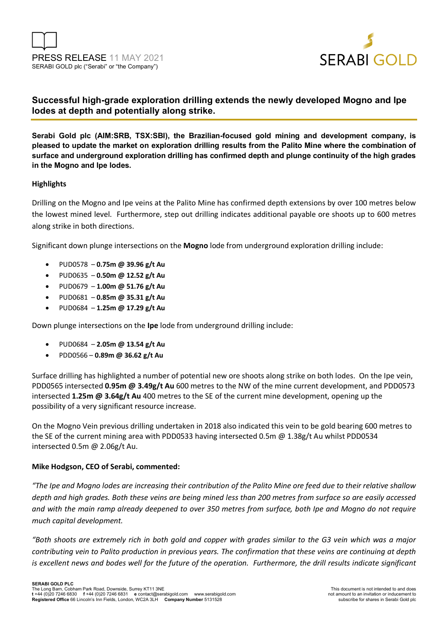



# **Successful high-grade exploration drilling extends the newly developed Mogno and Ipe lodes at depth and potentially along strike.**

**Serabi Gold plc (AIM:SRB, TSX:SBI), the Brazilian-focused gold mining and development company, is pleased to update the market on exploration drilling results from the Palito Mine where the combination of surface and underground exploration drilling has confirmed depth and plunge continuity of the high grades in the Mogno and Ipe lodes.** 

## **Highlights**

Drilling on the Mogno and Ipe veins at the Palito Mine has confirmed depth extensions by over 100 metres below the lowest mined level. Furthermore, step out drilling indicates additional payable ore shoots up to 600 metres along strike in both directions.

Significant down plunge intersections on the **Mogno** lode from underground exploration drilling include:

- PUD0578 **0.75m @ 39.96 g/t Au**
- PUD0635 **0.50m @ 12.52 g/t Au**
- PUD0679 **1.00m @ 51.76 g/t Au**
- PUD0681 **0.85m @ 35.31 g/t Au**
- PUD0684 **1.25m @ 17.29 g/t Au**

Down plunge intersections on the **Ipe** lode from underground drilling include:

- PUD0684 **2.05m @ 13.54 g/t Au**
- PDD0566 **0.89m @ 36.62 g/t Au**

Surface drilling has highlighted a number of potential new ore shoots along strike on both lodes. On the Ipe vein, PDD0565 intersected **0.95m @ 3.49g/t Au** 600 metres to the NW of the mine current development, and PDD0573 intersected **1.25m @ 3.64g/t Au** 400 metres to the SE of the current mine development, opening up the possibility of a very significant resource increase.

On the Mogno Vein previous drilling undertaken in 2018 also indicated this vein to be gold bearing 600 metres to the SE of the current mining area with PDD0533 having intersected 0.5m @ 1.38g/t Au whilst PDD0534 intersected 0.5m @ 2.06g/t Au.

## **Mike Hodgson, CEO of Serabi, commented:**

*"The Ipe and Mogno lodes are increasing their contribution of the Palito Mine ore feed due to their relative shallow depth and high grades. Both these veins are being mined less than 200 metres from surface so are easily accessed and with the main ramp already deepened to over 350 metres from surface, both Ipe and Mogno do not require much capital development.* 

*"Both shoots are extremely rich in both gold and copper with grades similar to the G3 vein which was a major contributing vein to Palito production in previous years. The confirmation that these veins are continuing at depth is excellent news and bodes well for the future of the operation. Furthermore, the drill results indicate significant*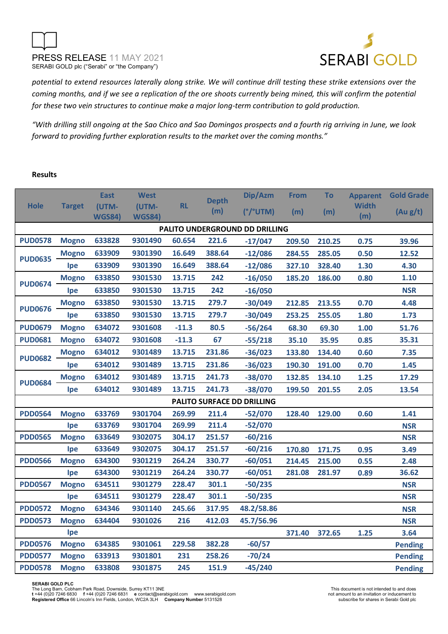



*potential to extend resources laterally along strike. We will continue drill testing these strike extensions over the coming months, and if we see a replication of the ore shoots currently being mined, this will confirm the potential for these two vein structures to continue make a major long-term contribution to gold production.* 

*"With drilling still ongoing at the Sao Chico and Sao Domingos prospects and a fourth rig arriving in June, we look forward to providing further exploration results to the market over the coming months."* 

## **Results**

|                                |               | <b>East</b>            | <b>West</b>            |           | <b>Depth</b> | Dip/Azm    | <b>From</b> | To     | <b>Apparent</b>     | <b>Gold Grade</b> |  |
|--------------------------------|---------------|------------------------|------------------------|-----------|--------------|------------|-------------|--------|---------------------|-------------------|--|
| <b>Hole</b>                    | <b>Target</b> | (UTM-<br><b>WGS84)</b> | (UTM-<br><b>WGS84)</b> | <b>RL</b> | (m)          | (')'UTM)   | (m)         | (m)    | <b>Width</b><br>(m) | (Au g/t)          |  |
| PALITO UNDERGROUND DD DRILLING |               |                        |                        |           |              |            |             |        |                     |                   |  |
| <b>PUD0578</b>                 | <b>Mogno</b>  | 633828                 | 9301490                | 60.654    | 221.6        | $-17/047$  | 209.50      | 210.25 | 0.75                | 39.96             |  |
| <b>PUD0635</b>                 | <b>Mogno</b>  | 633909                 | 9301390                | 16.649    | 388.64       | $-12/086$  | 284.55      | 285.05 | 0.50                | 12.52             |  |
|                                | <b>Ipe</b>    | 633909                 | 9301390                | 16.649    | 388.64       | $-12/086$  | 327.10      | 328.40 | 1.30                | 4.30              |  |
| <b>PUD0674</b>                 | <b>Mogno</b>  | 633850                 | 9301530                | 13.715    | 242          | $-16/050$  | 185.20      | 186.00 | 0.80                | 1.10              |  |
|                                | Ipe           | 633850                 | 9301530                | 13.715    | 242          | $-16/050$  |             |        |                     | <b>NSR</b>        |  |
| <b>PUD0676</b>                 | <b>Mogno</b>  | 633850                 | 9301530                | 13.715    | 279.7        | $-30/049$  | 212.85      | 213.55 | 0.70                | 4.48              |  |
|                                | Ipe           | 633850                 | 9301530                | 13.715    | 279.7        | $-30/049$  | 253.25      | 255.05 | 1.80                | 1.73              |  |
| <b>PUD0679</b>                 | <b>Mogno</b>  | 634072                 | 9301608                | $-11.3$   | 80.5         | $-56/264$  | 68.30       | 69.30  | 1.00                | 51.76             |  |
| <b>PUD0681</b>                 | <b>Mogno</b>  | 634072                 | 9301608                | $-11.3$   | 67           | $-55/218$  | 35.10       | 35.95  | 0.85                | 35.31             |  |
| <b>PUD0682</b>                 | <b>Mogno</b>  | 634012                 | 9301489                | 13.715    | 231.86       | $-36/023$  | 133.80      | 134.40 | 0.60                | 7.35              |  |
|                                | <b>Ipe</b>    | 634012                 | 9301489                | 13.715    | 231.86       | $-36/023$  | 190.30      | 191.00 | 0.70                | 1.45              |  |
| <b>PUD0684</b>                 | <b>Mogno</b>  | 634012                 | 9301489                | 13.715    | 241.73       | $-38/070$  | 132.85      | 134.10 | 1.25                | 17.29             |  |
|                                | <b>Ipe</b>    | 634012                 | 9301489                | 13.715    | 241.73       | $-38/070$  | 199.50      | 201.55 | 2.05                | 13.54             |  |
| PALITO SURFACE DD DRILLING     |               |                        |                        |           |              |            |             |        |                     |                   |  |
| <b>PDD0564</b>                 | <b>Mogno</b>  | 633769                 | 9301704                | 269.99    | 211.4        | $-52/070$  | 128.40      | 129.00 | 0.60                | 1.41              |  |
|                                | Ipe           | 633769                 | 9301704                | 269.99    | 211.4        | $-52/070$  |             |        |                     | <b>NSR</b>        |  |
| <b>PDD0565</b>                 | <b>Mogno</b>  | 633649                 | 9302075                | 304.17    | 251.57       | $-60/216$  |             |        |                     | <b>NSR</b>        |  |
|                                | Ipe           | 633649                 | 9302075                | 304.17    | 251.57       | $-60/216$  | 170.80      | 171.75 | 0.95                | 3.49              |  |
| <b>PDD0566</b>                 | <b>Mogno</b>  | 634300                 | 9301219                | 264.24    | 330.77       | $-60/051$  | 214.45      | 215.00 | 0.55                | 2.48              |  |
|                                | Ipe           | 634300                 | 9301219                | 264.24    | 330.77       | $-60/051$  | 281.08      | 281.97 | 0.89                | 36.62             |  |
| <b>PDD0567</b>                 | <b>Mogno</b>  | 634511                 | 9301279                | 228.47    | 301.1        | $-50/235$  |             |        |                     | <b>NSR</b>        |  |
|                                | Ipe           | 634511                 | 9301279                | 228.47    | 301.1        | $-50/235$  |             |        |                     | <b>NSR</b>        |  |
| <b>PDD0572</b>                 | <b>Mogno</b>  | 634346                 | 9301140                | 245.66    | 317.95       | 48.2/58.86 |             |        |                     | <b>NSR</b>        |  |
| <b>PDD0573</b>                 | <b>Mogno</b>  | 634404                 | 9301026                | 216       | 412.03       | 45.7/56.96 |             |        |                     | <b>NSR</b>        |  |
|                                | Ipe           |                        |                        |           |              |            | 371.40      | 372.65 | 1.25                | 3.64              |  |
| <b>PDD0576</b>                 | <b>Mogno</b>  | 634385                 | 9301061                | 229.58    | 382.28       | $-60/57$   |             |        |                     | <b>Pending</b>    |  |
| <b>PDD0577</b>                 | <b>Mogno</b>  | 633913                 | 9301801                | 231       | 258.26       | $-70/24$   |             |        |                     | <b>Pending</b>    |  |
| <b>PDD0578</b>                 | <b>Mogno</b>  | 633808                 | 9301875                | 245       | 151.9        | $-45/240$  |             |        |                     | <b>Pending</b>    |  |

**SERABI GOLD PLC** 

The Long Barn, Cobham Park Road, Downside, Surrey KT11 3NE<br>t +44 (0)20 7246 6830 f +44 (0)20 7246 6831 e contact@serabigold.com www.serabigold.com not amount to an invitation or inducement to

**Registered Office** 66 Lincoln's Inn Fields, London, WC2A 3LH **Company Number** 5131528 subscribe for shares in Serabi Gold plc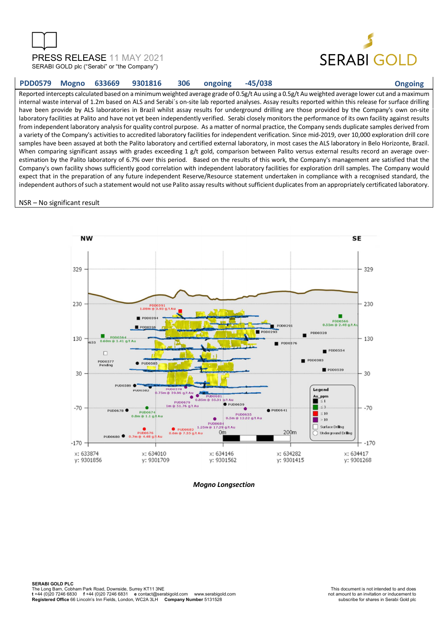



**PDD0579 Mogno 633669 9301816 306 ongoing -45/038 Ongoing**  Reported intercepts calculated based on a minimum weighted average grade of 0.5g/t Au using a 0.5g/t Au weighted average lower cut and a maximum internal waste interval of 1.2m based on ALS and Serabi´s on-site lab reported analyses. Assay results reported within this release for surface drilling have been provide by ALS laboratories in Brazil whilst assay results for underground drilling are those provided by the Company's own on-site laboratory facilities at Palito and have not yet been independently verified. Serabi closely monitors the performance of its own facility against results from independent laboratory analysis for quality control purpose. As a matter of normal practice, the Company sends duplicate samples derived from a variety of the Company's activities to accredited laboratory facilities for independent verification. Since mid-2019, over 10,000 exploration drill core samples have been assayed at both the Palito laboratory and certified external laboratory, in most cases the ALS laboratory in Belo Horizonte, Brazil. When comparing significant assays with grades exceeding 1 g/t gold, comparison between Palito versus external results record an average overestimation by the Palito laboratory of 6.7% over this period. Based on the results of this work, the Company's management are satisfied that the

Company's own facility shows sufficiently good correlation with independent laboratory facilities for exploration drill samples. The Company would expect that in the preparation of any future independent Reserve/Resource statement undertaken in compliance with a recognised standard, the independent authors of such a statement would not use Palito assay results without sufficient duplicates from an appropriately certificated laboratory.

### NSR – No significant result



*Mogno Longsection*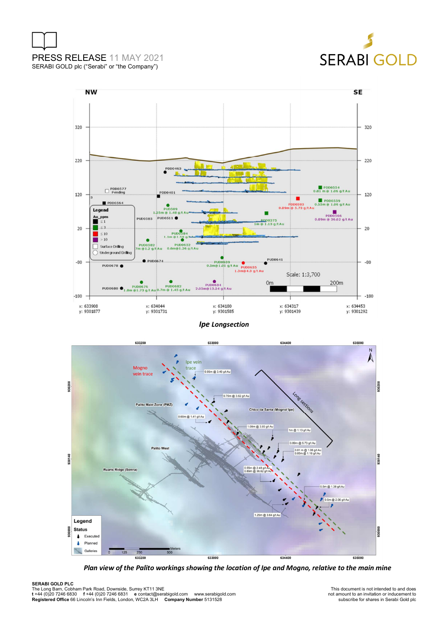





*Ipe Longsection*



*Plan view of the Palito workings showing the location of Ipe and Mogno, relative to the main mine* 

**SERABI GOLD PLC**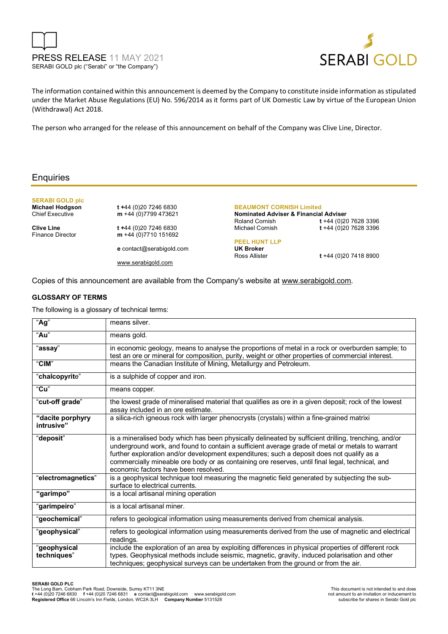



The information contained within this announcement is deemed by the Company to constitute inside information as stipulated under the Market Abuse Regulations (EU) No. 596/2014 as it forms part of UK Domestic Law by virtue of the European Union (Withdrawal) Act 2018.

The person who arranged for the release of this announcement on behalf of the Company was Clive Line, Director.

## **Enquiries**

# **SERABI GOLD plc**

**Michael Hodgson t +**44 (0)20 7246 6830<br>Chief Executive **m** +44 (0)7799 473621 m +44 (0)7799 473621 **Clive Line** t +44 (0)20 7246 6830<br>Fínance Director **m** +44 (0)7710 151692 m +44 (0)7710 151692

**e** contact@serabigold.com

www.serabigold.com

#### **BEAUMONT CORNISH Limited Nominated Adviser & Financial Adviser**

Roland Cornish **t** +44 (0)20 7628 3396 Michael Cornish **t** +44 (0)20 7628 3396

# **PEEL HUNT LLP UK Broker**

Ross Allister **t** +44 (0)20 7418 8900

Copies of this announcement are available from the Company's website at www.serabigold.com.

## **GLOSSARY OF TERMS**

The following is a glossary of technical terms:

| "Ag"                           | means silver.                                                                                                                                                                                                                                                                                                                                                                                                                                   |
|--------------------------------|-------------------------------------------------------------------------------------------------------------------------------------------------------------------------------------------------------------------------------------------------------------------------------------------------------------------------------------------------------------------------------------------------------------------------------------------------|
| "Au"                           | means gold.                                                                                                                                                                                                                                                                                                                                                                                                                                     |
| "assay"                        | in economic geology, means to analyse the proportions of metal in a rock or overburden sample; to<br>test an ore or mineral for composition, purity, weight or other properties of commercial interest.                                                                                                                                                                                                                                         |
| "CIM"                          | means the Canadian Institute of Mining, Metallurgy and Petroleum.                                                                                                                                                                                                                                                                                                                                                                               |
| "chalcopyrite"                 | is a sulphide of copper and iron.                                                                                                                                                                                                                                                                                                                                                                                                               |
| "Cu"                           | means copper.                                                                                                                                                                                                                                                                                                                                                                                                                                   |
| "cut-off grade"                | the lowest grade of mineralised material that qualifies as ore in a given deposit; rock of the lowest<br>assay included in an ore estimate.                                                                                                                                                                                                                                                                                                     |
| "dacite porphyry<br>intrusive" | a silica-rich igneous rock with larger phenocrysts (crystals) within a fine-grained matrixi                                                                                                                                                                                                                                                                                                                                                     |
| "deposit"                      | is a mineralised body which has been physically delineated by sufficient drilling, trenching, and/or<br>underground work, and found to contain a sufficient average grade of metal or metals to warrant<br>further exploration and/or development expenditures; such a deposit does not qualify as a<br>commercially mineable ore body or as containing ore reserves, until final legal, technical, and<br>economic factors have been resolved. |
| "electromagnetics"             | is a geophysical technique tool measuring the magnetic field generated by subjecting the sub-<br>surface to electrical currents.                                                                                                                                                                                                                                                                                                                |
| "garimpo"                      | is a local artisanal mining operation                                                                                                                                                                                                                                                                                                                                                                                                           |
| "garimpeiro"                   | is a local artisanal miner.                                                                                                                                                                                                                                                                                                                                                                                                                     |
| "geochemical"                  | refers to geological information using measurements derived from chemical analysis.                                                                                                                                                                                                                                                                                                                                                             |
| "geophysical"                  | refers to geological information using measurements derived from the use of magnetic and electrical<br>readings.                                                                                                                                                                                                                                                                                                                                |
| "geophysical<br>techniques"    | include the exploration of an area by exploiting differences in physical properties of different rock<br>types. Geophysical methods include seismic, magnetic, gravity, induced polarisation and other<br>techniques; geophysical surveys can be undertaken from the ground or from the air.                                                                                                                                                    |